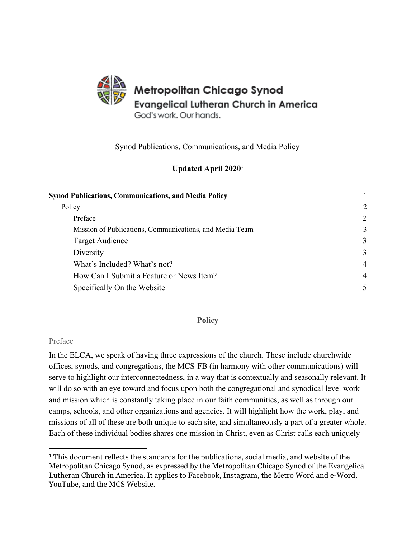

Synod Publications, Communications, and Media Policy

## **Updated April 2020**<sup>1</sup>

<span id="page-0-0"></span>

| <b>Synod Publications, Communications, and Media Policy</b> |                |
|-------------------------------------------------------------|----------------|
| Policy                                                      | 2              |
| Preface                                                     | 2              |
| Mission of Publications, Communications, and Media Team     | 3              |
| Target Audience                                             | 3              |
| Diversity                                                   | 3              |
| What's Included? What's not?                                | $\overline{4}$ |
| How Can I Submit a Feature or News Item?                    | $\overline{4}$ |
| Specifically On the Website                                 | $\mathcal{F}$  |

### **Policy**

### <span id="page-0-2"></span><span id="page-0-1"></span>Preface

In the ELCA, we speak of having three expressions of the church. These include churchwide offices, synods, and congregations, the MCS-FB (in harmony with other communications) will serve to highlight our interconnectedness, in a way that is contextually and seasonally relevant. It will do so with an eye toward and focus upon both the congregational and synodical level work and mission which is constantly taking place in our faith communities, as well as through our camps, schools, and other organizations and agencies. It will highlight how the work, play, and missions of all of these are both unique to each site, and simultaneously a part of a greater whole. Each of these individual bodies shares one mission in Christ, even as Christ calls each uniquely

<sup>1</sup> This document reflects the standards for the publications, social media, and website of the Metropolitan Chicago Synod, as expressed by the Metropolitan Chicago Synod of the Evangelical Lutheran Church in America. It applies to Facebook, Instagram, the Metro Word and e-Word, YouTube, and the MCS Website.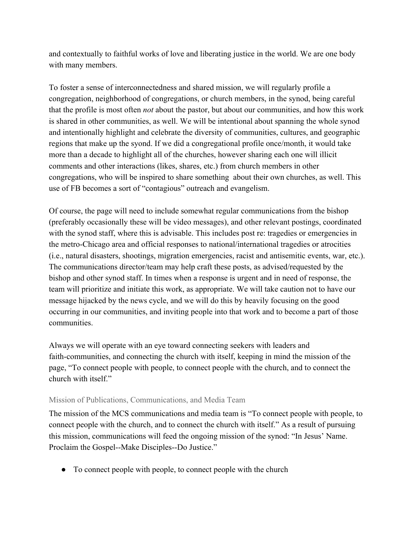and contextually to faithful works of love and liberating justice in the world. We are one body with many members.

To foster a sense of interconnectedness and shared mission, we will regularly profile a congregation, neighborhood of congregations, or church members, in the synod, being careful that the profile is most often *not* about the pastor, but about our communities, and how this work is shared in other communities, as well. We will be intentional about spanning the whole synod and intentionally highlight and celebrate the diversity of communities, cultures, and geographic regions that make up the syond. If we did a congregational profile once/month, it would take more than a decade to highlight all of the churches, however sharing each one will illicit comments and other interactions (likes, shares, etc.) from church members in other congregations, who will be inspired to share something about their own churches, as well. This use of FB becomes a sort of "contagious" outreach and evangelism.

Of course, the page will need to include somewhat regular communications from the bishop (preferably occasionally these will be video messages), and other relevant postings, coordinated with the synod staff, where this is advisable. This includes post re: tragedies or emergencies in the metro-Chicago area and official responses to national/international tragedies or atrocities (i.e., natural disasters, shootings, migration emergencies, racist and antisemitic events, war, etc.). The communications director/team may help craft these posts, as advised/requested by the bishop and other synod staff. In times when a response is urgent and in need of response, the team will prioritize and initiate this work, as appropriate. We will take caution not to have our message hijacked by the news cycle, and we will do this by heavily focusing on the good occurring in our communities, and inviting people into that work and to become a part of those communities.

Always we will operate with an eye toward connecting seekers with leaders and faith-communities, and connecting the church with itself, keeping in mind the mission of the page, "To connect people with people, to connect people with the church, and to connect the church with itself."

## <span id="page-1-0"></span>Mission of Publications, Communications, and Media Team

The mission of the MCS communications and media team is "To connect people with people, to connect people with the church, and to connect the church with itself." As a result of pursuing this mission, communications will feed the ongoing mission of the synod: "In Jesus' Name. Proclaim the Gospel--Make Disciples--Do Justice."

● To connect people with people, to connect people with the church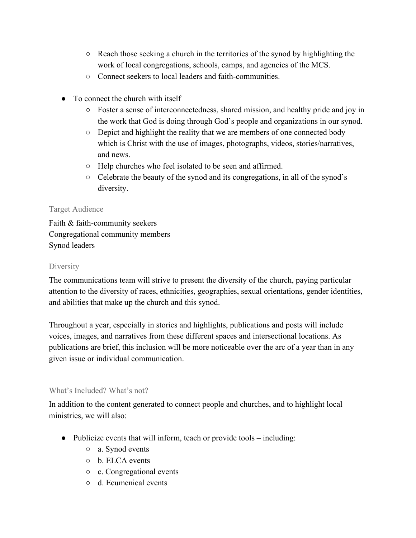- Reach those seeking a church in the territories of the synod by highlighting the work of local congregations, schools, camps, and agencies of the MCS.
- Connect seekers to local leaders and faith-communities.
- To connect the church with itself
	- Foster a sense of interconnectedness, shared mission, and healthy pride and joy in the work that God is doing through God's people and organizations in our synod.
	- $\circ$  Depict and highlight the reality that we are members of one connected body which is Christ with the use of images, photographs, videos, stories/narratives, and news.
	- Help churches who feel isolated to be seen and affirmed.
	- Celebrate the beauty of the synod and its congregations, in all of the synod's diversity.

# <span id="page-2-0"></span>Target Audience

Faith & faith-community seekers Congregational community members Synod leaders

## <span id="page-2-1"></span>**Diversity**

The communications team will strive to present the diversity of the church, paying particular attention to the diversity of races, ethnicities, geographies, sexual orientations, gender identities, and abilities that make up the church and this synod.

Throughout a year, especially in stories and highlights, publications and posts will include voices, images, and narratives from these different spaces and intersectional locations. As publications are brief, this inclusion will be more noticeable over the arc of a year than in any given issue or individual communication.

## <span id="page-2-2"></span>What's Included? What's not?

In addition to the content generated to connect people and churches, and to highlight local ministries, we will also:

- Publicize events that will inform, teach or provide tools including:
	- a. Synod events
	- b. ELCA events
	- c. Congregational events
	- d. Ecumenical events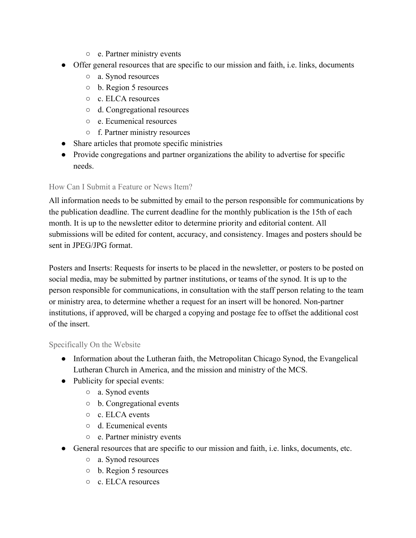- e. Partner ministry events
- Offer general resources that are specific to our mission and faith, i.e. links, documents
	- a. Synod resources
	- b. Region 5 resources
	- c. ELCA resources
	- d. Congregational resources
	- e. Ecumenical resources
	- f. Partner ministry resources
- Share articles that promote specific ministries
- Provide congregations and partner organizations the ability to advertise for specific needs.

## <span id="page-3-0"></span>How Can I Submit a Feature or News Item?

All information needs to be submitted by email to the person responsible for communications by the publication deadline. The current deadline for the monthly publication is the 15th of each month. It is up to the newsletter editor to determine priority and editorial content. All submissions will be edited for content, accuracy, and consistency. Images and posters should be sent in JPEG/JPG format.

Posters and Inserts: Requests for inserts to be placed in the newsletter, or posters to be posted on social media, may be submitted by partner institutions, or teams of the synod. It is up to the person responsible for communications, in consultation with the staff person relating to the team or ministry area, to determine whether a request for an insert will be honored. Non-partner institutions, if approved, will be charged a copying and postage fee to offset the additional cost of the insert.

### <span id="page-3-1"></span>Specifically On the Website

- Information about the Lutheran faith, the Metropolitan Chicago Synod, the Evangelical Lutheran Church in America, and the mission and ministry of the MCS.
- Publicity for special events:
	- a. Synod events
	- b. Congregational events
	- c. ELCA events
	- d. Ecumenical events
	- e. Partner ministry events
- General resources that are specific to our mission and faith, i.e. links, documents, etc.
	- a. Synod resources
	- b. Region 5 resources
	- c. ELCA resources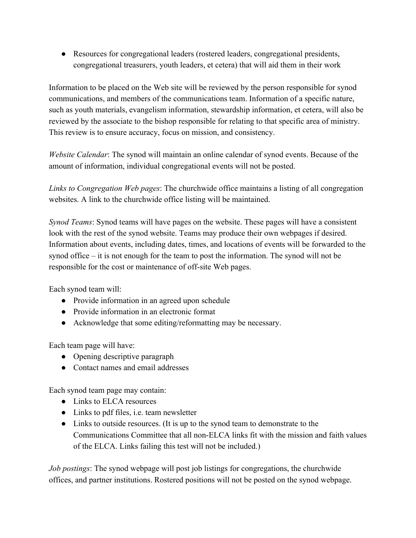● Resources for congregational leaders (rostered leaders, congregational presidents, congregational treasurers, youth leaders, et cetera) that will aid them in their work

Information to be placed on the Web site will be reviewed by the person responsible for synod communications, and members of the communications team. Information of a specific nature, such as youth materials, evangelism information, stewardship information, et cetera, will also be reviewed by the associate to the bishop responsible for relating to that specific area of ministry. This review is to ensure accuracy, focus on mission, and consistency.

*Website Calendar*: The synod will maintain an online calendar of synod events. Because of the amount of information, individual congregational events will not be posted.

*Links to Congregation Web pages*: The churchwide office maintains a listing of all congregation websites. A link to the churchwide office listing will be maintained.

*Synod Teams*: Synod teams will have pages on the website. These pages will have a consistent look with the rest of the synod website. Teams may produce their own webpages if desired. Information about events, including dates, times, and locations of events will be forwarded to the synod office – it is not enough for the team to post the information. The synod will not be responsible for the cost or maintenance of off-site Web pages.

Each synod team will:

- Provide information in an agreed upon schedule
- Provide information in an electronic format
- Acknowledge that some editing/reformatting may be necessary.

Each team page will have:

- Opening descriptive paragraph
- Contact names and email addresses

Each synod team page may contain:

- Links to ELCA resources
- Links to pdf files, i.e. team newsletter
- Links to outside resources. (It is up to the synod team to demonstrate to the Communications Committee that all non-ELCA links fit with the mission and faith values of the ELCA. Links failing this test will not be included.)

*Job postings*: The synod webpage will post job listings for congregations, the churchwide offices, and partner institutions. Rostered positions will not be posted on the synod webpage.